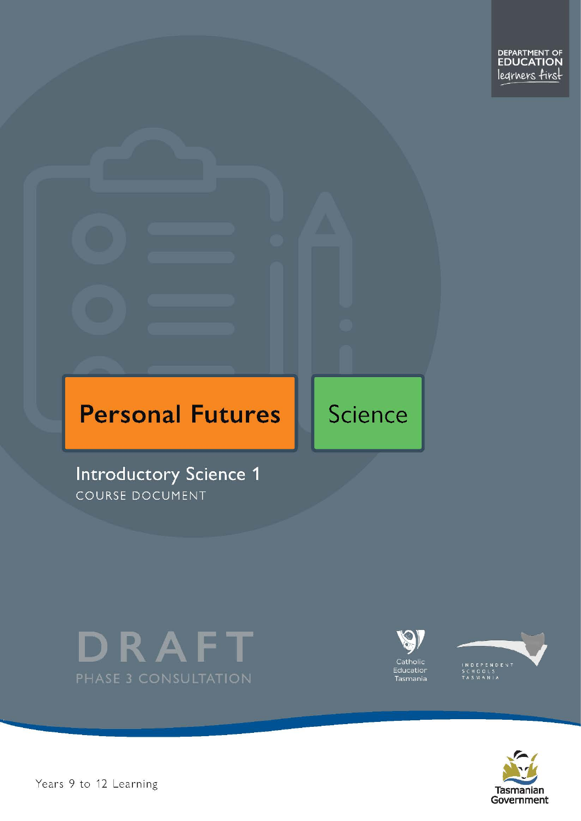# **Personal Futures**

**Introductory Science 1** COURSE DOCUMENT





Science





Pears 9 to 12 Learning – International Level 1 of 21 of 21 of 21 of 21 of 21 of 21 of 21 of 21 of 21 of 21 of 21 of 21 of 21 of 21 of 21 of 21 of 21 of 21 of 21 of 21 of 21 of 21 of 21 of 21 of 21 of 21 of 21 of 21 of 21 o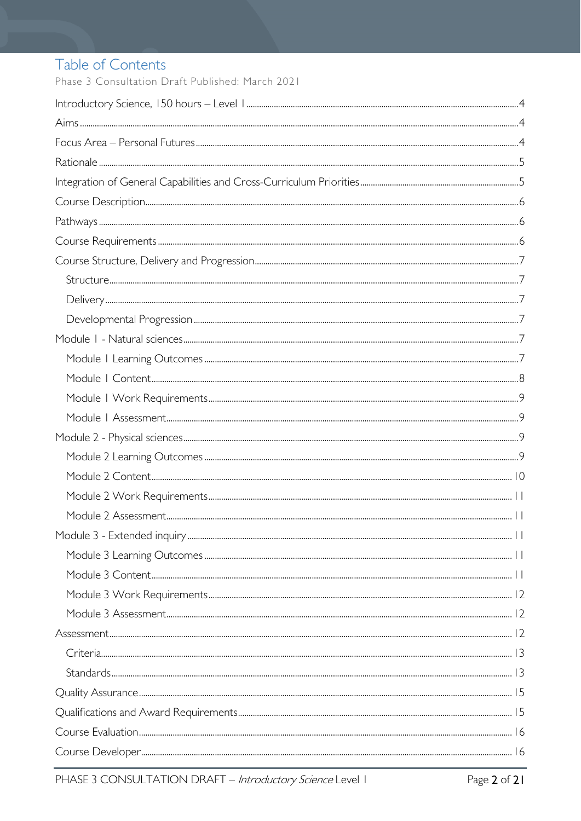# Table of Contents

Phase 3 Consultation Draft Published: March 2021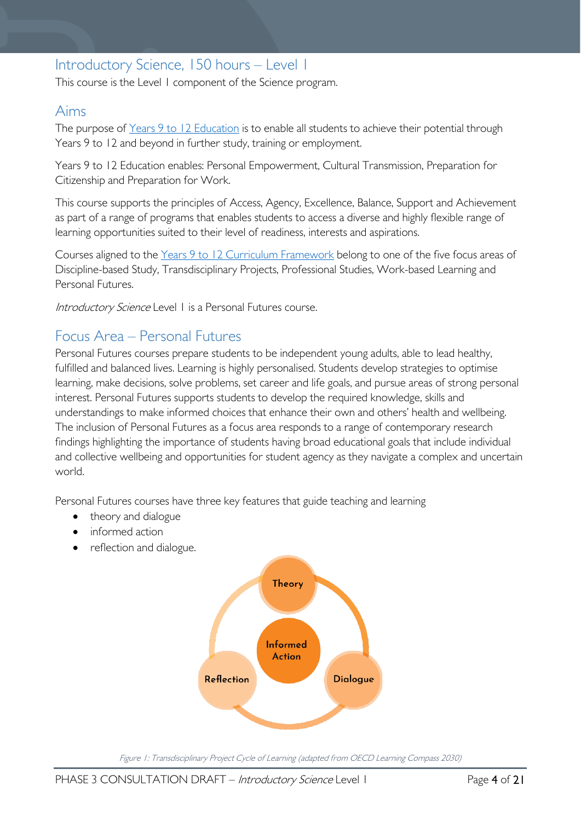# <span id="page-3-0"></span>Introductory Science, 150 hours – Level 1

This course is the Level 1 component of the Science program.

### <span id="page-3-1"></span>Aims

The purpose of Years 9 to 12 [Education](https://publicdocumentcentre.education.tas.gov.au/library/Shared%20Documents/Years-9-to-12-Education-Framework.pdf) is to enable all students to achieve their potential through Years 9 to 12 and beyond in further study, training or employment.

Years 9 to 12 Education enables: Personal Empowerment, Cultural Transmission, Preparation for Citizenship and Preparation for Work.

This course supports the principles of Access, Agency, Excellence, Balance, Support and Achievement as part of a range of programs that enables students to access a diverse and highly flexible range of learning opportunities suited to their level of readiness, interests and aspirations.

Courses aligned to the Years 9 to 12 Curriculum [Framework](https://publicdocumentcentre.education.tas.gov.au/library/Shared%20Documents/Education%209-12%20Frameworks%20A3%20WEB%20POSTER.pdf) belong to one of the five focus areas of Discipline-based Study, Transdisciplinary Projects, Professional Studies, Work-based Learning and Personal Futures.

Introductory Science Level 1 is a Personal Futures course.

# <span id="page-3-2"></span>Focus Area – Personal Futures

Personal Futures courses prepare students to be independent young adults, able to lead healthy, fulfilled and balanced lives. Learning is highly personalised. Students develop strategies to optimise learning, make decisions, solve problems, set career and life goals, and pursue areas of strong personal interest. Personal Futures supports students to develop the required knowledge, skills and understandings to make informed choices that enhance their own and others' health and wellbeing. The inclusion of Personal Futures as a focus area responds to a range of contemporary research findings highlighting the importance of students having broad educational goals that include individual and collective wellbeing and opportunities for student agency as they navigate a complex and uncertain world.

Personal Futures courses have three key features that guide teaching and learning

- theory and dialogue
- informed action
- reflection and dialogue.



Figure 1: Transdisciplinary Project Cycle of Learning (adapted from OECD Learning Compass 2030)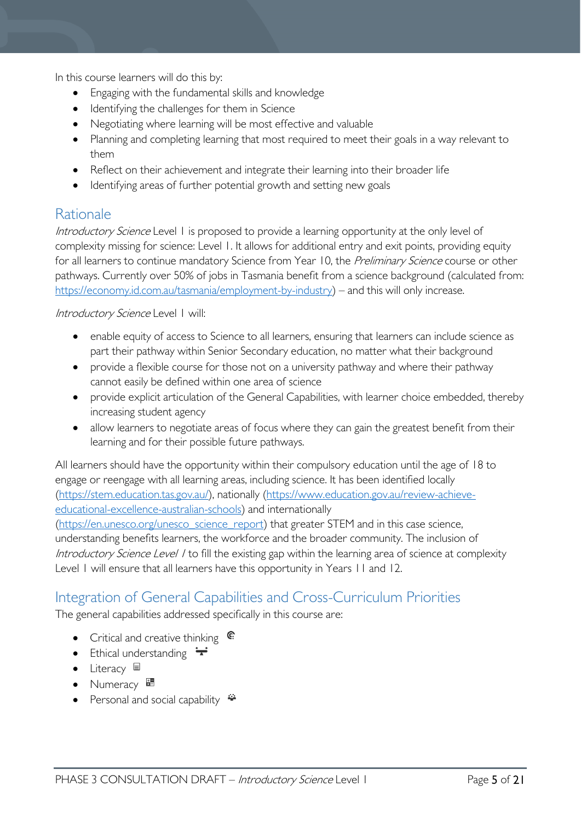In this course learners will do this by:

- Engaging with the fundamental skills and knowledge
- Identifying the challenges for them in Science
- Negotiating where learning will be most effective and valuable
- Planning and completing learning that most required to meet their goals in a way relevant to them
- Reflect on their achievement and integrate their learning into their broader life
- Identifying areas of further potential growth and setting new goals

# <span id="page-4-0"></span>Rationale

Introductory Science Level 1 is proposed to provide a learning opportunity at the only level of complexity missing for science: Level 1. It allows for additional entry and exit points, providing equity for all learners to continue mandatory Science from Year 10, the Preliminary Science course or other pathways. Currently over 50% of jobs in Tasmania benefit from a science background (calculated from: [https://economy.id.com.au/tasmania/employment-by-industry\)](https://economy.id.com.au/tasmania/employment-by-industry) – and this will only increase.

Introductory Science Level I will:

- enable equity of access to Science to all learners, ensuring that learners can include science as part their pathway within Senior Secondary education, no matter what their background
- provide a flexible course for those not on a university pathway and where their pathway cannot easily be defined within one area of science
- provide explicit articulation of the General Capabilities, with learner choice embedded, thereby increasing student agency
- allow learners to negotiate areas of focus where they can gain the greatest benefit from their learning and for their possible future pathways.

All learners should have the opportunity within their compulsory education until the age of 18 to engage or reengage with all learning areas, including science. It has been identified locally [\(https://stem.education.tas.gov.au/\)](https://stem.education.tas.gov.au/), nationally [\(https://www.education.gov.au/review-achieve](https://www.education.gov.au/review-achieve-educational-excellence-australian-schools)[educational-excellence-australian-schools\)](https://www.education.gov.au/review-achieve-educational-excellence-australian-schools) and internationally [\(https://en.unesco.org/unesco\\_science\\_report\)](https://en.unesco.org/unesco_science_report) that greater STEM and in this case science,

understanding benefits learners, the workforce and the broader community. The inclusion of Introductory Science Level / to fill the existing gap within the learning area of science at complexity Level 1 will ensure that all learners have this opportunity in Years 11 and 12.

# <span id="page-4-1"></span>Integration of General Capabilities and Cross-Curriculum Priorities

The general capabilities addressed specifically in this course are:

- Critical and creative thinking  $\mathbb{C}$
- Ethical understanding  $\div$
- Literacy  $\blacksquare$
- Numeracy
- Personal and social capability  $\triangleq$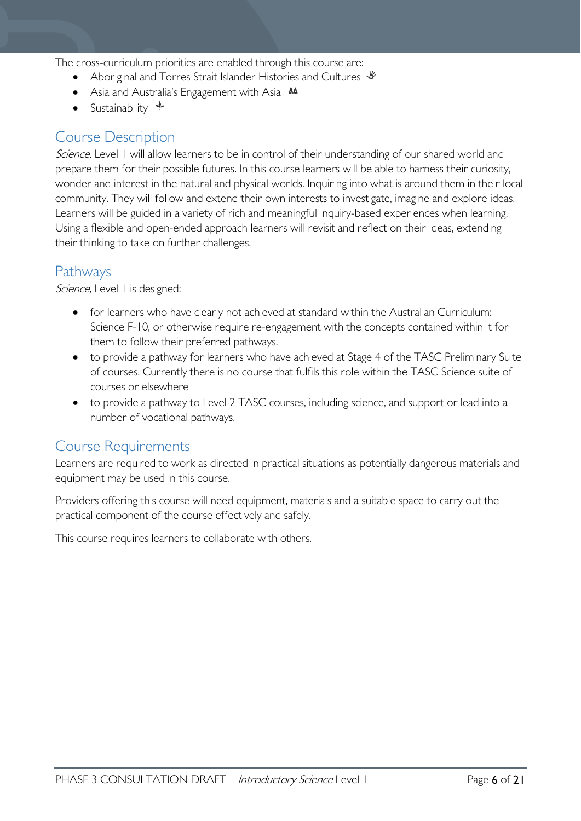The cross-curriculum priorities are enabled through this course are:

- Aboriginal and Torres Strait Islander Histories and Cultures  $\mathcal$
- Asia and Australia's Engagement with Asia **AA**
- Sustainability  $\triangleleft$

# <span id="page-5-0"></span>Course Description

Science, Level 1 will allow learners to be in control of their understanding of our shared world and prepare them for their possible futures. In this course learners will be able to harness their curiosity, wonder and interest in the natural and physical worlds. Inquiring into what is around them in their local community. They will follow and extend their own interests to investigate, imagine and explore ideas. Learners will be guided in a variety of rich and meaningful inquiry-based experiences when learning. Using a flexible and open-ended approach learners will revisit and reflect on their ideas, extending their thinking to take on further challenges.

### <span id="page-5-1"></span>Pathways

Science, Level 1 is designed:

- for learners who have clearly not achieved at standard within the Australian Curriculum: Science F-10, or otherwise require re-engagement with the concepts contained within it for them to follow their preferred pathways.
- to provide a pathway for learners who have achieved at Stage 4 of the TASC Preliminary Suite of courses. Currently there is no course that fulfils this role within the TASC Science suite of courses or elsewhere
- to provide a pathway to Level 2 TASC courses, including science, and support or lead into a number of vocational pathways.

### <span id="page-5-2"></span>Course Requirements

Learners are required to work as directed in practical situations as potentially dangerous materials and equipment may be used in this course.

Providers offering this course will need equipment, materials and a suitable space to carry out the practical component of the course effectively and safely.

This course requires learners to collaborate with others.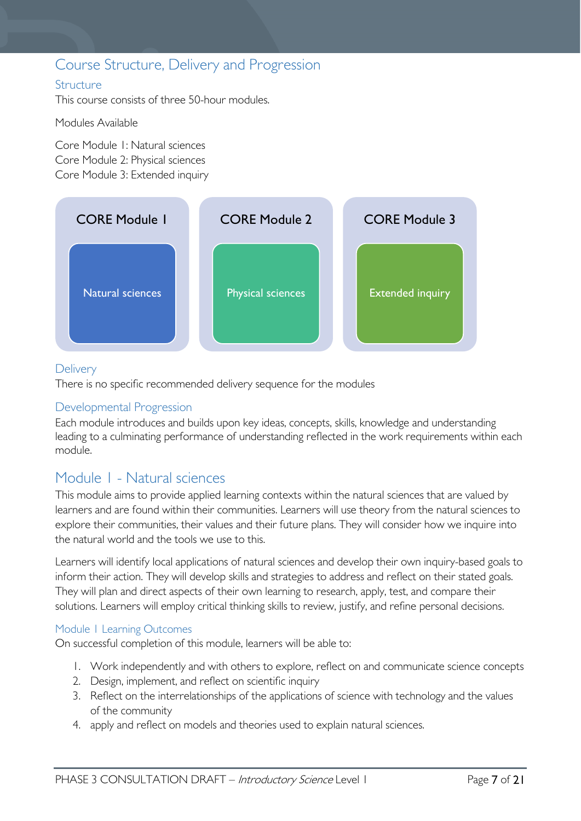# <span id="page-6-0"></span>Course Structure, Delivery and Progression

#### <span id="page-6-1"></span>**Structure**

This course consists of three 50-hour modules.

Modules Available

Core Module 1: Natural sciences Core Module 2: Physical sciences Core Module 3: Extended inquiry



#### <span id="page-6-2"></span>**Delivery**

There is no specific recommended delivery sequence for the modules

#### <span id="page-6-3"></span>Developmental Progression

Each module introduces and builds upon key ideas, concepts, skills, knowledge and understanding leading to a culminating performance of understanding reflected in the work requirements within each module.

### <span id="page-6-4"></span>Module 1 - Natural sciences

This module aims to provide applied learning contexts within the natural sciences that are valued by learners and are found within their communities. Learners will use theory from the natural sciences to explore their communities, their values and their future plans. They will consider how we inquire into the natural world and the tools we use to this.

Learners will identify local applications of natural sciences and develop their own inquiry-based goals to inform their action. They will develop skills and strategies to address and reflect on their stated goals. They will plan and direct aspects of their own learning to research, apply, test, and compare their solutions. Learners will employ critical thinking skills to review, justify, and refine personal decisions.

#### <span id="page-6-5"></span>Module 1 Learning Outcomes

On successful completion of this module, learners will be able to:

- 1. Work independently and with others to explore, reflect on and communicate science concepts
- 2. Design, implement, and reflect on scientific inquiry
- 3. Reflect on the interrelationships of the applications of science with technology and the values of the community
- 4. apply and reflect on models and theories used to explain natural sciences.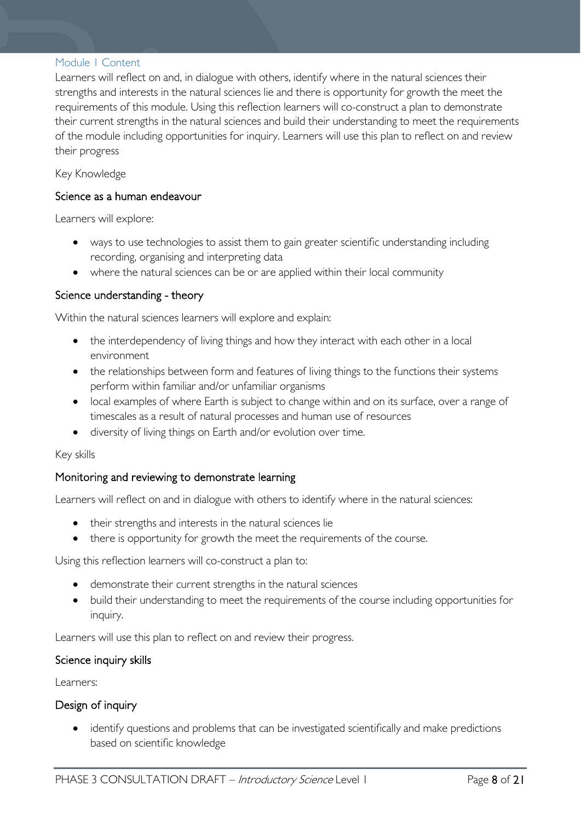#### <span id="page-7-0"></span>Module 1 Content

Learners will reflect on and, in dialogue with others, identify where in the natural sciences their strengths and interests in the natural sciences lie and there is opportunity for growth the meet the requirements of this module. Using this reflection learners will co-construct a plan to demonstrate their current strengths in the natural sciences and build their understanding to meet the requirements of the module including opportunities for inquiry. Learners will use this plan to reflect on and review their progress

Key Knowledge

#### Science as a human endeavour

Learners will explore:

- ways to use technologies to assist them to gain greater scientific understanding including recording, organising and interpreting data
- where the natural sciences can be or are applied within their local community

#### Science understanding - theory

Within the natural sciences learners will explore and explain:

- the interdependency of living things and how they interact with each other in a local environment
- the relationships between form and features of living things to the functions their systems perform within familiar and/or unfamiliar organisms
- local examples of where Earth is subject to change within and on its surface, over a range of timescales as a result of natural processes and human use of resources
- diversity of living things on Earth and/or evolution over time.

#### Key skills

#### Monitoring and reviewing to demonstrate learning

Learners will reflect on and in dialogue with others to identify where in the natural sciences:

- their strengths and interests in the natural sciences lie
- there is opportunity for growth the meet the requirements of the course.

Using this reflection learners will co-construct a plan to:

- demonstrate their current strengths in the natural sciences
- build their understanding to meet the requirements of the course including opportunities for inquiry.

Learners will use this plan to reflect on and review their progress.

#### Science inquiry skills

Learners:

#### Design of inquiry

• identify questions and problems that can be investigated scientifically and make predictions based on scientific knowledge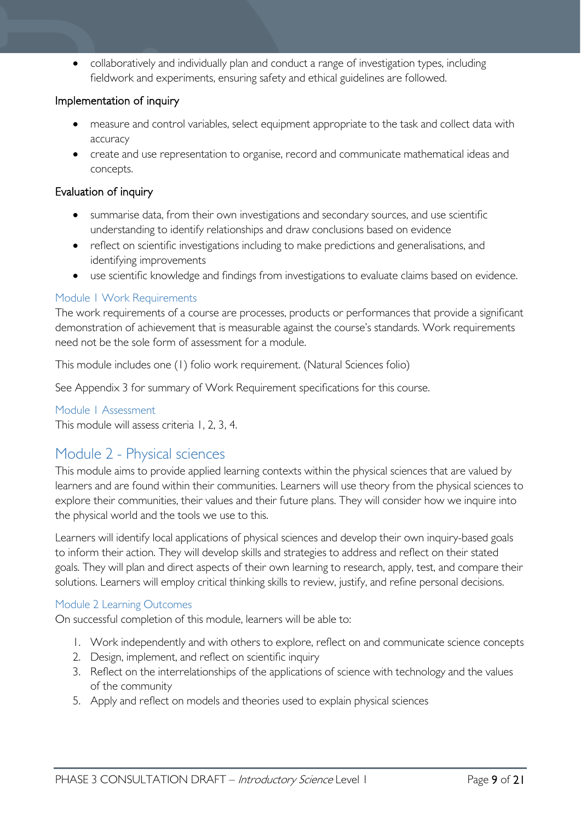• collaboratively and individually plan and conduct a range of investigation types, including fieldwork and experiments, ensuring safety and ethical guidelines are followed.

#### Implementation of inquiry

- measure and control variables, select equipment appropriate to the task and collect data with accuracy
- create and use representation to organise, record and communicate mathematical ideas and concepts.

#### Evaluation of inquiry

- summarise data, from their own investigations and secondary sources, and use scientific understanding to identify relationships and draw conclusions based on evidence
- reflect on scientific investigations including to make predictions and generalisations, and identifying improvements
- use scientific knowledge and findings from investigations to evaluate claims based on evidence.

#### <span id="page-8-0"></span>Module 1 Work Requirements

The work requirements of a course are processes, products or performances that provide a significant demonstration of achievement that is measurable against the course's standards. Work requirements need not be the sole form of assessment for a module.

This module includes one (1) folio work requirement. (Natural Sciences folio)

See Appendix 3 for summary of Work Requirement specifications for this course.

<span id="page-8-1"></span>Module 1 Assessment This module will assess criteria 1, 2, 3, 4.

# <span id="page-8-2"></span>Module 2 - Physical sciences

This module aims to provide applied learning contexts within the physical sciences that are valued by learners and are found within their communities. Learners will use theory from the physical sciences to explore their communities, their values and their future plans. They will consider how we inquire into the physical world and the tools we use to this.

Learners will identify local applications of physical sciences and develop their own inquiry-based goals to inform their action. They will develop skills and strategies to address and reflect on their stated goals. They will plan and direct aspects of their own learning to research, apply, test, and compare their solutions. Learners will employ critical thinking skills to review, justify, and refine personal decisions.

#### <span id="page-8-3"></span>Module 2 Learning Outcomes

On successful completion of this module, learners will be able to:

- 1. Work independently and with others to explore, reflect on and communicate science concepts
- 2. Design, implement, and reflect on scientific inquiry
- 3. Reflect on the interrelationships of the applications of science with technology and the values of the community
- 5. Apply and reflect on models and theories used to explain physical sciences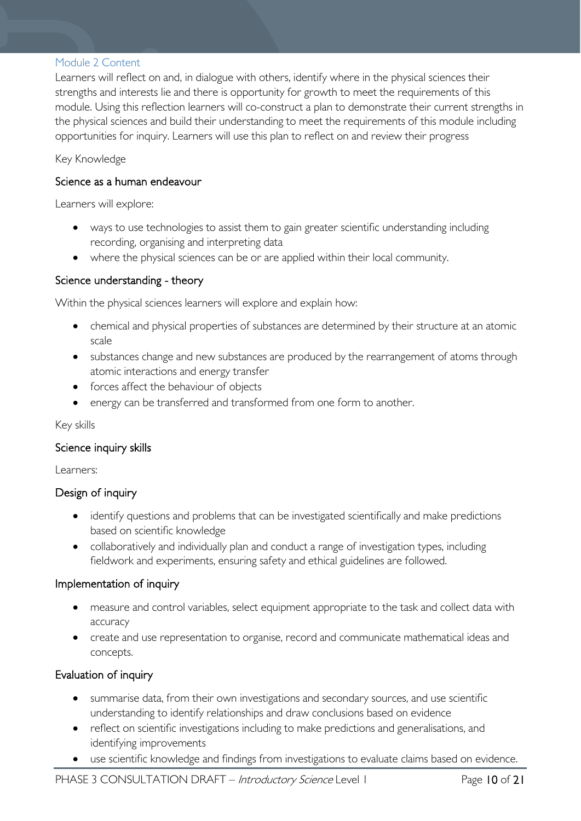#### <span id="page-9-0"></span>Module 2 Content

Learners will reflect on and, in dialogue with others, identify where in the physical sciences their strengths and interests lie and there is opportunity for growth to meet the requirements of this module. Using this reflection learners will co-construct a plan to demonstrate their current strengths in the physical sciences and build their understanding to meet the requirements of this module including opportunities for inquiry. Learners will use this plan to reflect on and review their progress

Key Knowledge

#### Science as a human endeavour

Learners will explore:

- ways to use technologies to assist them to gain greater scientific understanding including recording, organising and interpreting data
- where the physical sciences can be or are applied within their local community.

#### Science understanding - theory

Within the physical sciences learners will explore and explain how:

- chemical and physical properties of substances are determined by their structure at an atomic scale
- substances change and new substances are produced by the rearrangement of atoms through atomic interactions and energy transfer
- forces affect the behaviour of objects
- energy can be transferred and transformed from one form to another.

#### Key skills

#### Science inquiry skills

Learners:

#### Design of inquiry

- identify questions and problems that can be investigated scientifically and make predictions based on scientific knowledge
- collaboratively and individually plan and conduct a range of investigation types, including fieldwork and experiments, ensuring safety and ethical guidelines are followed.

#### Implementation of inquiry

- measure and control variables, select equipment appropriate to the task and collect data with accuracy
- create and use representation to organise, record and communicate mathematical ideas and concepts.

#### Evaluation of inquiry

- summarise data, from their own investigations and secondary sources, and use scientific understanding to identify relationships and draw conclusions based on evidence
- reflect on scientific investigations including to make predictions and generalisations, and identifying improvements
- use scientific knowledge and findings from investigations to evaluate claims based on evidence.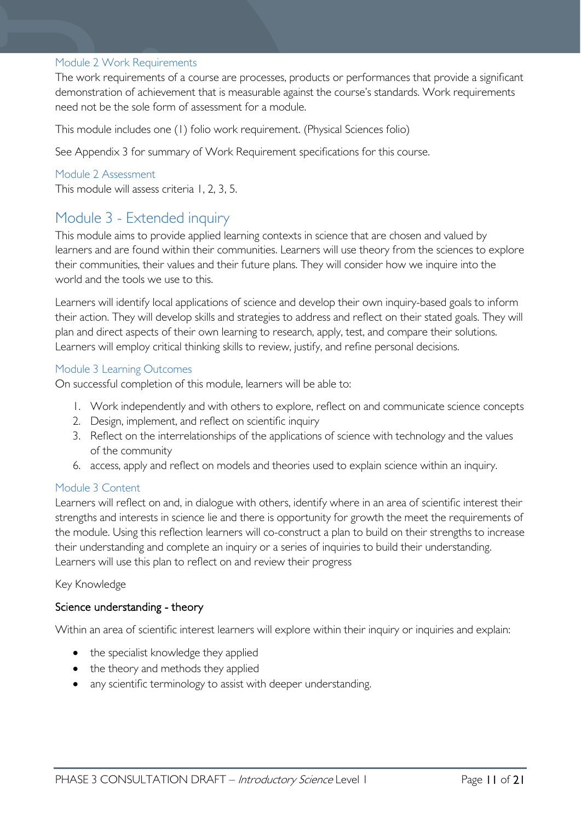#### <span id="page-10-0"></span>Module 2 Work Requirements

The work requirements of a course are processes, products or performances that provide a significant demonstration of achievement that is measurable against the course's standards. Work requirements need not be the sole form of assessment for a module.

This module includes one (1) folio work requirement. (Physical Sciences folio)

See Appendix 3 for summary of Work Requirement specifications for this course.

#### <span id="page-10-1"></span>Module 2 Assessment

This module will assess criteria 1, 2, 3, 5.

# <span id="page-10-2"></span>Module 3 - Extended inquiry

This module aims to provide applied learning contexts in science that are chosen and valued by learners and are found within their communities. Learners will use theory from the sciences to explore their communities, their values and their future plans. They will consider how we inquire into the world and the tools we use to this.

Learners will identify local applications of science and develop their own inquiry-based goals to inform their action. They will develop skills and strategies to address and reflect on their stated goals. They will plan and direct aspects of their own learning to research, apply, test, and compare their solutions. Learners will employ critical thinking skills to review, justify, and refine personal decisions.

#### <span id="page-10-3"></span>Module 3 Learning Outcomes

On successful completion of this module, learners will be able to:

- 1. Work independently and with others to explore, reflect on and communicate science concepts
- 2. Design, implement, and reflect on scientific inquiry
- 3. Reflect on the interrelationships of the applications of science with technology and the values of the community
- 6. access, apply and reflect on models and theories used to explain science within an inquiry.

#### <span id="page-10-4"></span>Module 3 Content

Learners will reflect on and, in dialogue with others, identify where in an area of scientific interest their strengths and interests in science lie and there is opportunity for growth the meet the requirements of the module. Using this reflection learners will co-construct a plan to build on their strengths to increase their understanding and complete an inquiry or a series of inquiries to build their understanding. Learners will use this plan to reflect on and review their progress

#### Key Knowledge

#### Science understanding - theory

Within an area of scientific interest learners will explore within their inquiry or inquiries and explain:

- the specialist knowledge they applied
- the theory and methods they applied
- any scientific terminology to assist with deeper understanding.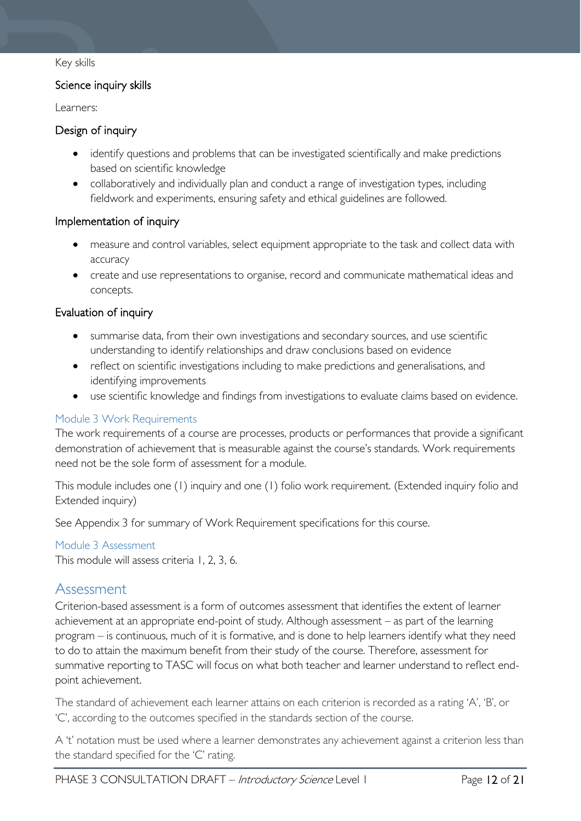#### Key skills

#### Science inquiry skills

Learners:

#### Design of inquiry

- identify questions and problems that can be investigated scientifically and make predictions based on scientific knowledge
- collaboratively and individually plan and conduct a range of investigation types, including fieldwork and experiments, ensuring safety and ethical guidelines are followed.

#### Implementation of inquiry

- measure and control variables, select equipment appropriate to the task and collect data with accuracy
- create and use representations to organise, record and communicate mathematical ideas and concepts.

#### Evaluation of inquiry

- summarise data, from their own investigations and secondary sources, and use scientific understanding to identify relationships and draw conclusions based on evidence
- reflect on scientific investigations including to make predictions and generalisations, and identifying improvements
- use scientific knowledge and findings from investigations to evaluate claims based on evidence.

#### <span id="page-11-0"></span>Module 3 Work Requirements

The work requirements of a course are processes, products or performances that provide a significant demonstration of achievement that is measurable against the course's standards. Work requirements need not be the sole form of assessment for a module.

This module includes one (1) inquiry and one (1) folio work requirement. (Extended inquiry folio and Extended inquiry)

See Appendix 3 for summary of Work Requirement specifications for this course.

#### <span id="page-11-1"></span>Module 3 Assessment

This module will assess criteria 1, 2, 3, 6.

### <span id="page-11-2"></span>Assessment

Criterion-based assessment is a form of outcomes assessment that identifies the extent of learner achievement at an appropriate end-point of study. Although assessment – as part of the learning program – is continuous, much of it is formative, and is done to help learners identify what they need to do to attain the maximum benefit from their study of the course. Therefore, assessment for summative reporting to TASC will focus on what both teacher and learner understand to reflect endpoint achievement.

The standard of achievement each learner attains on each criterion is recorded as a rating 'A', 'B', or 'C', according to the outcomes specified in the standards section of the course.

A 't' notation must be used where a learner demonstrates any achievement against a criterion less than the standard specified for the 'C' rating.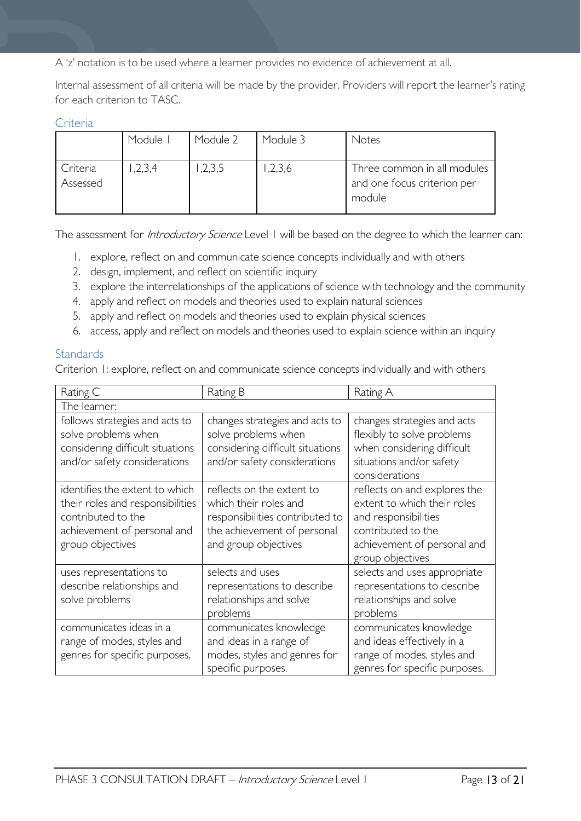A 'z' notation is to be used where a learner provides no evidence of achievement at all.

Internal assessment of all criteria will be made by the provider. Providers will report the learner's rating for each criterion to TASC.

#### <span id="page-12-0"></span>Criteria

|                      | Module I | Module 2 | Module 3 | Notes                                                                |
|----------------------|----------|----------|----------|----------------------------------------------------------------------|
| Criteria<br>Assessed | 1,2,3,4  | 1,2,3,5  | ,2,3,6   | Three common in all modules<br>and one focus criterion per<br>module |

The assessment for *Introductory Science* Level 1 will be based on the degree to which the learner can:

- 1. explore, reflect on and communicate science concepts individually and with others
- 2. design, implement, and reflect on scientific inquiry
- 3. explore the interrelationships of the applications of science with technology and the community
- 4. apply and reflect on models and theories used to explain natural sciences
- 5. apply and reflect on models and theories used to explain physical sciences
- 6. access, apply and reflect on models and theories used to explain science within an inquiry

#### <span id="page-12-1"></span>**Standards**

Criterion 1: explore, reflect on and communicate science concepts individually and with others

| Rating C                                                                                                                                    | Rating B                                                                                                                                     | Rating A                                                                                                                                                     |  |  |  |
|---------------------------------------------------------------------------------------------------------------------------------------------|----------------------------------------------------------------------------------------------------------------------------------------------|--------------------------------------------------------------------------------------------------------------------------------------------------------------|--|--|--|
| The learner:                                                                                                                                |                                                                                                                                              |                                                                                                                                                              |  |  |  |
| follows strategies and acts to<br>solve problems when<br>considering difficult situations<br>and/or safety considerations                   | changes strategies and acts to<br>solve problems when<br>considering difficult situations<br>and/or safety considerations                    | changes strategies and acts<br>flexibly to solve problems<br>when considering difficult<br>situations and/or safety<br>considerations                        |  |  |  |
| identifies the extent to which<br>their roles and responsibilities<br>contributed to the<br>achievement of personal and<br>group objectives | reflects on the extent to<br>which their roles and<br>responsibilities contributed to<br>the achievement of personal<br>and group objectives | reflects on and explores the<br>extent to which their roles<br>and responsibilities<br>contributed to the<br>achievement of personal and<br>group objectives |  |  |  |
| uses representations to<br>describe relationships and<br>solve problems                                                                     | selects and uses<br>representations to describe<br>relationships and solve<br>problems                                                       | selects and uses appropriate<br>representations to describe<br>relationships and solve<br>problems                                                           |  |  |  |
| communicates ideas in a<br>range of modes, styles and<br>genres for specific purposes.                                                      | communicates knowledge<br>and ideas in a range of<br>modes, styles and genres for<br>specific purposes.                                      | communicates knowledge<br>and ideas effectively in a<br>range of modes, styles and<br>genres for specific purposes.                                          |  |  |  |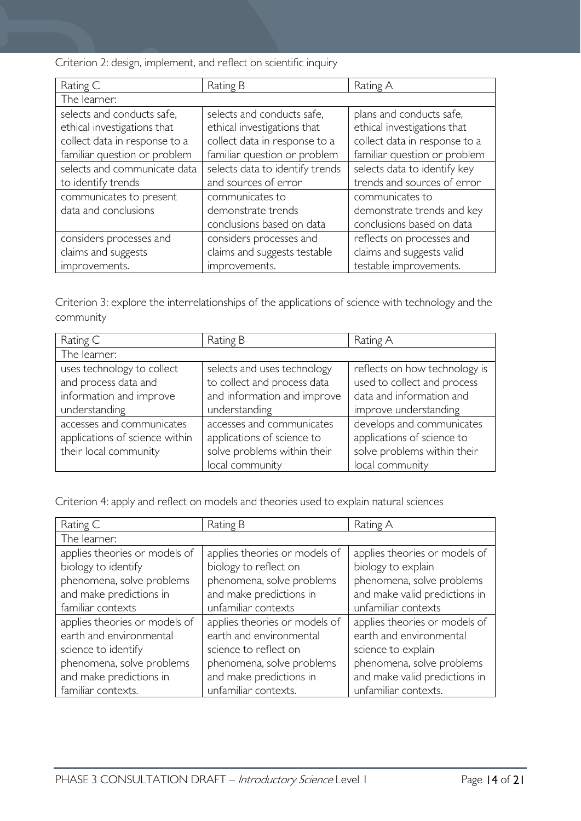Criterion 2: design, implement, and reflect on scientific inquiry

| Rating C                      | Rating B                        | Rating A                      |
|-------------------------------|---------------------------------|-------------------------------|
| The learner:                  |                                 |                               |
| selects and conducts safe,    | selects and conducts safe,      | plans and conducts safe,      |
| ethical investigations that   | ethical investigations that     | ethical investigations that   |
| collect data in response to a | collect data in response to a   | collect data in response to a |
| familiar question or problem  | familiar question or problem    | familiar question or problem  |
| selects and communicate data  | selects data to identify trends | selects data to identify key  |
| to identify trends            | and sources of error            | trends and sources of error   |
| communicates to present       | communicates to                 | communicates to               |
| data and conclusions          | demonstrate trends              | demonstrate trends and key    |
|                               | conclusions based on data       | conclusions based on data     |
| considers processes and       | considers processes and         | reflects on processes and     |
| claims and suggests           | claims and suggests testable    | claims and suggests valid     |
| improvements.                 | improvements.                   | testable improvements.        |

Criterion 3: explore the interrelationships of the applications of science with technology and the community

| Rating C                       | Rating B                    | Rating A                      |
|--------------------------------|-----------------------------|-------------------------------|
| The learner:                   |                             |                               |
| uses technology to collect     | selects and uses technology | reflects on how technology is |
| and process data and           | to collect and process data | used to collect and process   |
| information and improve        | and information and improve | data and information and      |
| understanding                  | understanding               | improve understanding         |
| accesses and communicates      | accesses and communicates   | develops and communicates     |
| applications of science within | applications of science to  | applications of science to    |
| their local community          | solve problems within their | solve problems within their   |
|                                | local community             | local community               |

Criterion 4: apply and reflect on models and theories used to explain natural sciences

| Rating C                      | Rating B                      | Rating A                      |
|-------------------------------|-------------------------------|-------------------------------|
| The learner:                  |                               |                               |
| applies theories or models of | applies theories or models of | applies theories or models of |
| biology to identify           | biology to reflect on         | biology to explain            |
| phenomena, solve problems     | phenomena, solve problems     | phenomena, solve problems     |
| and make predictions in       | and make predictions in       | and make valid predictions in |
| familiar contexts             | unfamiliar contexts           | unfamiliar contexts           |
| applies theories or models of | applies theories or models of | applies theories or models of |
| earth and environmental       | earth and environmental       | earth and environmental       |
| science to identify           | science to reflect on         | science to explain            |
| phenomena, solve problems     | phenomena, solve problems     | phenomena, solve problems     |
| and make predictions in       | and make predictions in       | and make valid predictions in |
| familiar contexts.            | unfamiliar contexts.          | unfamiliar contexts.          |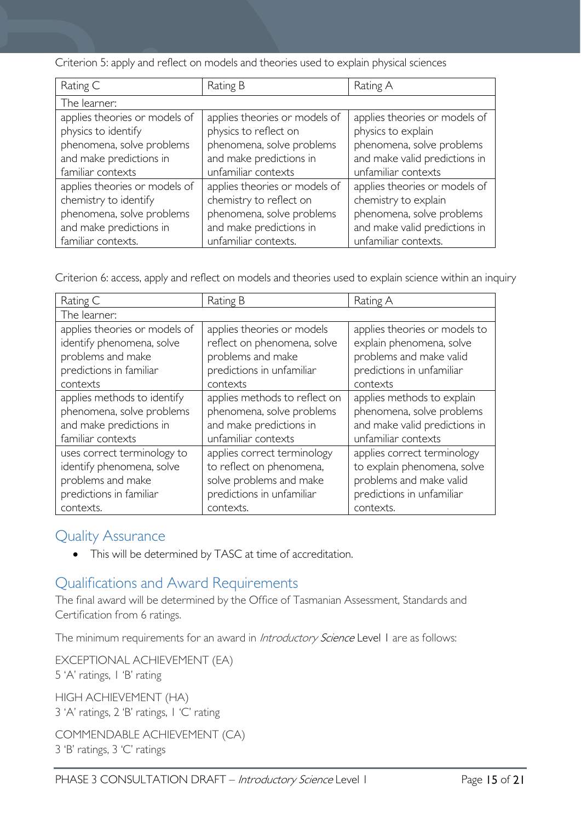Criterion 5: apply and reflect on models and theories used to explain physical sciences

| Rating C                      | Rating B                      | Rating A                      |
|-------------------------------|-------------------------------|-------------------------------|
| The learner:                  |                               |                               |
| applies theories or models of | applies theories or models of | applies theories or models of |
| physics to identify           | physics to reflect on         | physics to explain            |
| phenomena, solve problems     | phenomena, solve problems     | phenomena, solve problems     |
| and make predictions in       | and make predictions in       | and make valid predictions in |
| familiar contexts             | unfamiliar contexts           | unfamiliar contexts           |
| applies theories or models of | applies theories or models of | applies theories or models of |
| chemistry to identify         | chemistry to reflect on       | chemistry to explain          |
| phenomena, solve problems     | phenomena, solve problems     | phenomena, solve problems     |
| and make predictions in       | and make predictions in       | and make valid predictions in |
| familiar contexts.            | unfamiliar contexts.          | unfamiliar contexts.          |

Criterion 6: access, apply and reflect on models and theories used to explain science within an inquiry

| Rating C                      | Rating B                      | Rating A                      |
|-------------------------------|-------------------------------|-------------------------------|
| The learner:                  |                               |                               |
| applies theories or models of | applies theories or models    | applies theories or models to |
| identify phenomena, solve     | reflect on phenomena, solve   | explain phenomena, solve      |
| problems and make             | problems and make             | problems and make valid       |
| predictions in familiar       | predictions in unfamiliar     | predictions in unfamiliar     |
| contexts                      | contexts                      | contexts                      |
| applies methods to identify   | applies methods to reflect on | applies methods to explain    |
| phenomena, solve problems     | phenomena, solve problems     | phenomena, solve problems     |
| and make predictions in       | and make predictions in       | and make valid predictions in |
| familiar contexts             | unfamiliar contexts           | unfamiliar contexts           |
| uses correct terminology to   | applies correct terminology   | applies correct terminology   |
| identify phenomena, solve     | to reflect on phenomena,      | to explain phenomena, solve   |
| problems and make             | solve problems and make       | problems and make valid       |
| predictions in familiar       | predictions in unfamiliar     | predictions in unfamiliar     |
| contexts.                     | contexts.                     | contexts.                     |

### <span id="page-14-0"></span>Quality Assurance

• This will be determined by TASC at time of accreditation.

### <span id="page-14-1"></span>Qualifications and Award Requirements

The final award will be determined by the Office of Tasmanian Assessment, Standards and Certification from 6 ratings.

The minimum requirements for an award in *Introductory Science* Level 1 are as follows:

EXCEPTIONAL ACHIEVEMENT (EA) 5 'A' ratings, 1 'B' rating HIGH ACHIEVEMENT (HA) 3 'A' ratings, 2 'B' ratings, 1 'C' rating COMMENDABLE ACHIEVEMENT (CA)

3 'B' ratings, 3 'C' ratings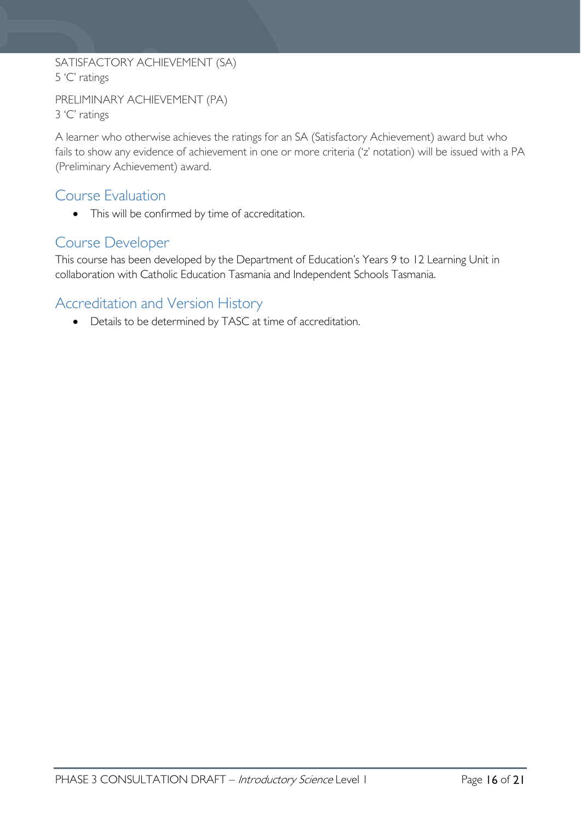# SATISFACTORY ACHIEVEMENT (SA) 5 'C' ratings

```
PRELIMINARY ACHIEVEMENT (PA)
3 'C' ratings
```
A learner who otherwise achieves the ratings for an SA (Satisfactory Achievement) award but who fails to show any evidence of achievement in one or more criteria ('z' notation) will be issued with a PA (Preliminary Achievement) award.

# <span id="page-15-0"></span>Course Evaluation

• This will be confirmed by time of accreditation.

# <span id="page-15-1"></span>Course Developer

This course has been developed by the Department of Education's Years 9 to 12 Learning Unit in collaboration with Catholic Education Tasmania and Independent Schools Tasmania.

# <span id="page-15-2"></span>Accreditation and Version History

• Details to be determined by TASC at time of accreditation.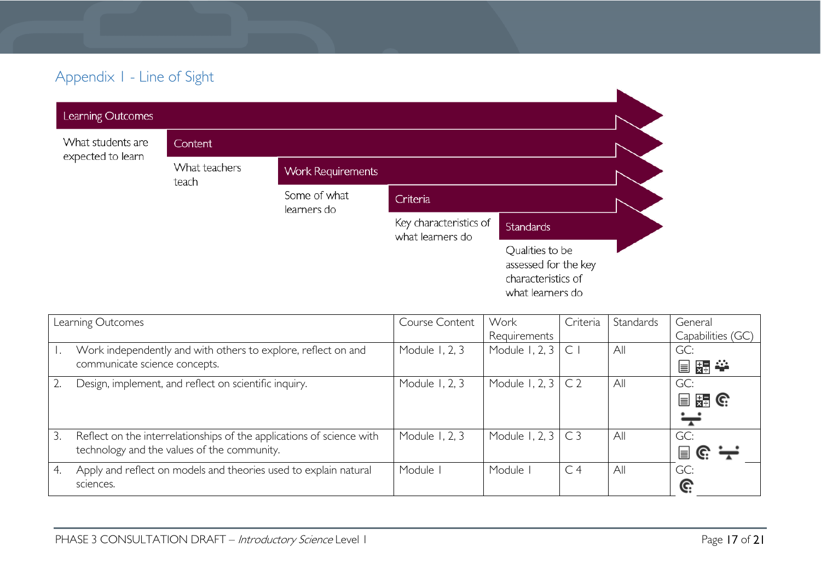# Appendix 1 - Line of Sight

| Learning Outcomes |                        |                             |                                            |                                                                                   |  |
|-------------------|------------------------|-----------------------------|--------------------------------------------|-----------------------------------------------------------------------------------|--|
| What students are | Content                |                             |                                            |                                                                                   |  |
| expected to learn | What teachers<br>teach | <b>Work Requirements</b>    |                                            |                                                                                   |  |
|                   |                        | Some of what<br>learners do | Criteria                                   |                                                                                   |  |
|                   |                        |                             | Key characteristics of<br>what learners do | <b>Standards</b>                                                                  |  |
|                   |                        |                             |                                            | Qualities to be<br>assessed for the key<br>characteristics of<br>what learners do |  |

<span id="page-16-0"></span>

|    | Learning Outcomes                                                     | Course Content | Work                      | Criteria       | Standards | General                         |
|----|-----------------------------------------------------------------------|----------------|---------------------------|----------------|-----------|---------------------------------|
|    |                                                                       |                | Requirements              |                |           | Capabilities (GC)               |
|    | Work independently and with others to explore, reflect on and         | Module 1, 2, 3 | Module 1, 2, 3 $\mid$ C   |                | All       | GC:                             |
|    | communicate science concepts.                                         |                |                           |                |           | 冒點拳                             |
|    | Design, implement, and reflect on scientific inquiry.                 | Module 1, 2, 3 | Module 1, 2, $3 \mid C2$  |                | All       | GC:                             |
|    |                                                                       |                |                           |                |           | $\Box$ $\Xi$ $\Theta$           |
|    |                                                                       |                |                           |                |           | $\div$                          |
| 3. | Reflect on the interrelationships of the applications of science with | Module 1, 2, 3 | Module 1, 2, 3 $\mid$ C 3 |                | All       | GC:                             |
|    | technology and the values of the community.                           |                |                           |                |           | $\mathbf{F} \in \mathbb{R}^{n}$ |
| 4. | Apply and reflect on models and theories used to explain natural      | Module I       | Module I                  | C <sub>4</sub> | All       | GC:                             |
|    | sciences.                                                             |                |                           |                |           | G:                              |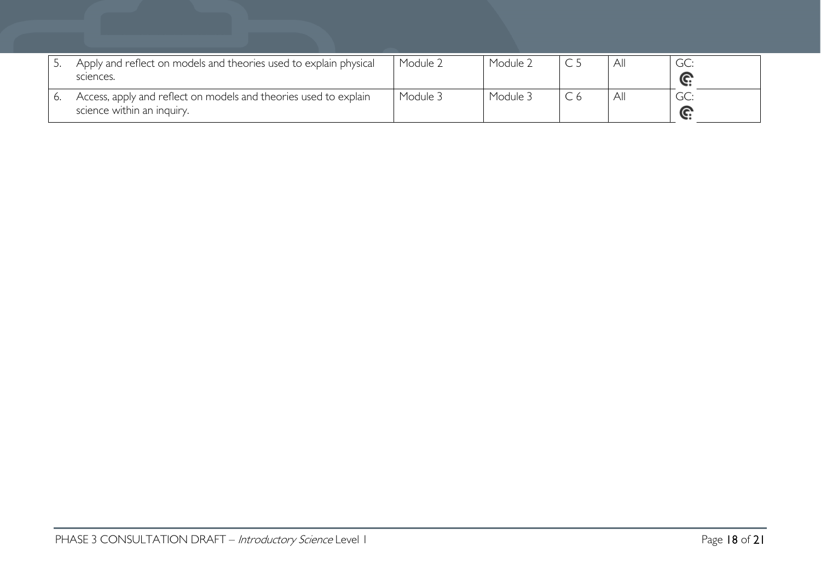| Apply and reflect on models and theories used to explain physical<br>sciences.                 | Module 2 | Module 2 | All |  |
|------------------------------------------------------------------------------------------------|----------|----------|-----|--|
| Access, apply and reflect on models and theories used to explain<br>science within an inquiry. | Module 3 | Module 3 | All |  |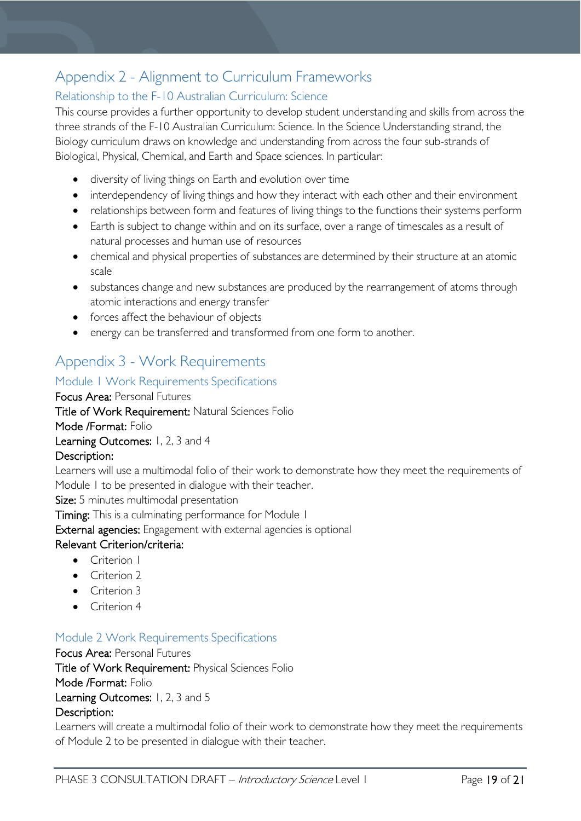# <span id="page-18-0"></span>Appendix 2 - Alignment to Curriculum Frameworks

### <span id="page-18-1"></span>Relationship to the F-10 Australian Curriculum: Science

This course provides a further opportunity to develop student understanding and skills from across the three strands of the F-10 Australian Curriculum: Science. In the Science Understanding strand, the Biology curriculum draws on knowledge and understanding from across the four sub-strands of Biological, Physical, Chemical, and Earth and Space sciences. In particular:

- diversity of living things on Earth and evolution over time
- interdependency of living things and how they interact with each other and their environment
- relationships between form and features of living things to the functions their systems perform
- Earth is subject to change within and on its surface, over a range of timescales as a result of natural processes and human use of resources
- chemical and physical properties of substances are determined by their structure at an atomic scale
- substances change and new substances are produced by the rearrangement of atoms through atomic interactions and energy transfer
- forces affect the behaviour of objects
- energy can be transferred and transformed from one form to another.

# <span id="page-18-2"></span>Appendix 3 - Work Requirements

### <span id="page-18-3"></span>Module 1 Work Requirements Specifications

Focus Area: Personal Futures Title of Work Requirement: Natural Sciences Folio Mode /Format: Folio Learning Outcomes: 1, 2, 3 and 4 Description:

Learners will use a multimodal folio of their work to demonstrate how they meet the requirements of Module 1 to be presented in dialogue with their teacher.

Size: 5 minutes multimodal presentation

Timing: This is a culminating performance for Module 1

External agencies: Engagement with external agencies is optional

### Relevant Criterion/criteria:

- Criterion 1
- Criterion 2
- Criterion 3
- Criterion 4

### <span id="page-18-4"></span>Module 2 Work Requirements Specifications

Focus Area: Personal Futures Title of Work Requirement: Physical Sciences Folio Mode /Format: Folio Learning Outcomes: 1, 2, 3 and 5 Description:

Learners will create a multimodal folio of their work to demonstrate how they meet the requirements of Module 2 to be presented in dialogue with their teacher.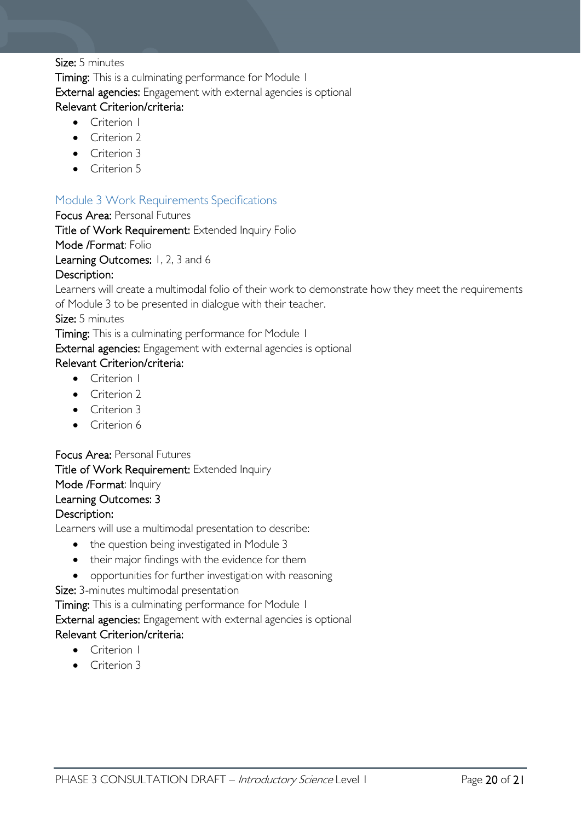#### Size: 5 minutes

Timing: This is a culminating performance for Module 1 External agencies: Engagement with external agencies is optional Relevant Criterion/criteria:

- Criterion 1
- Criterion 2
- Criterion 3
- Criterion 5

### <span id="page-19-0"></span>Module 3 Work Requirements Specifications

#### Focus Area: Personal Futures

Title of Work Requirement: Extended Inquiry Folio

#### Mode /Format: Folio

Learning Outcomes: 1, 2, 3 and 6

#### Description:

Learners will create a multimodal folio of their work to demonstrate how they meet the requirements of Module 3 to be presented in dialogue with their teacher.

#### Size: 5 minutes

Timing: This is a culminating performance for Module 1

External agencies: Engagement with external agencies is optional

#### Relevant Criterion/criteria:

- Criterion I
- Criterion 2
- Criterion 3
- Criterion 6

### Focus Area: Personal Futures Title of Work Requirement: Extended Inquiry Mode /Format: Inquiry

### Learning Outcomes: 3

#### Description:

Learners will use a multimodal presentation to describe:

- the question being investigated in Module 3
- their major findings with the evidence for them
- opportunities for further investigation with reasoning

Size: 3-minutes multimodal presentation

Timing: This is a culminating performance for Module 1

External agencies: Engagement with external agencies is optional

#### Relevant Criterion/criteria:

- Criterion 1
- Criterion 3